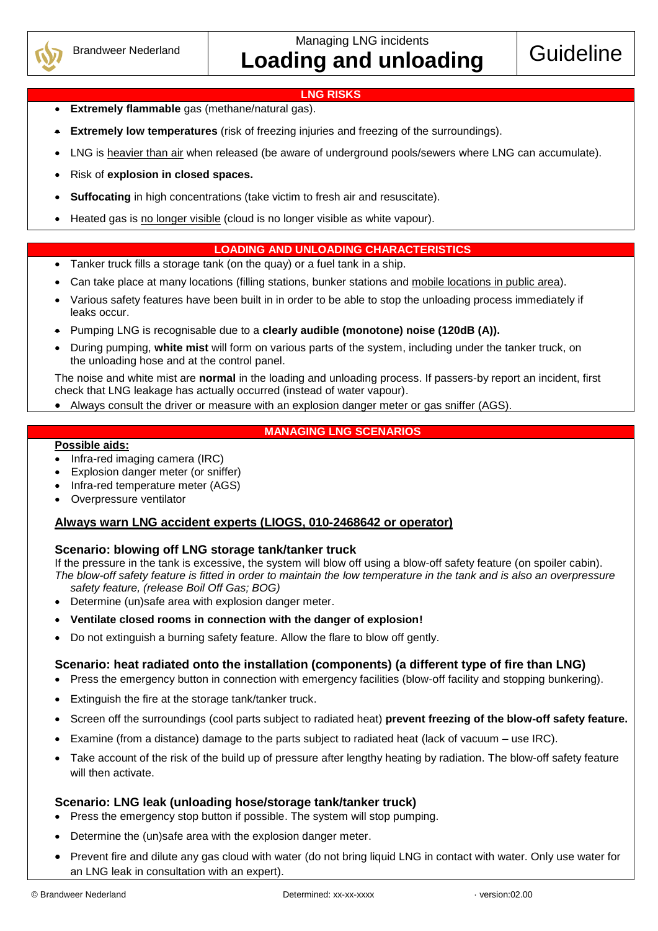

Managing LNG incidents **Loading and unloading Guideline** 

#### **LNG RISKS**

- **Extremely flammable** gas (methane/natural gas).
- **Extremely low temperatures** (risk of freezing injuries and freezing of the surroundings).
- LNG is heavier than air when released (be aware of underground pools/sewers where LNG can accumulate).
- Risk of **explosion in closed spaces.**
- **Suffocating** in high concentrations (take victim to fresh air and resuscitate).
- Heated gas is no longer visible (cloud is no longer visible as white vapour).

## **LOADING AND UNLOADING CHARACTERISTICS**

- Tanker truck fills a storage tank (on the quay) or a fuel tank in a ship.
- Can take place at many locations (filling stations, bunker stations and mobile locations in public area).
- Various safety features have been built in in order to be able to stop the unloading process immediately if leaks occur.
- Pumping LNG is recognisable due to a **clearly audible (monotone) noise (120dB (A)).**
- During pumping, **white mist** will form on various parts of the system, including under the tanker truck, on the unloading hose and at the control panel.

The noise and white mist are **normal** in the loading and unloading process. If passers-by report an incident, first check that LNG leakage has actually occurred (instead of water vapour).

Always consult the driver or measure with an explosion danger meter or gas sniffer (AGS).

## **MANAGING LNG SCENARIOS**

#### **Possible aids:**

- Infra-red imaging camera (IRC)
- Explosion danger meter (or sniffer)
- Infra-red temperature meter (AGS)
- Overpressure ventilator

## **Always warn LNG accident experts (LIOGS, 010-2468642 or operator)**

## **Scenario: blowing off LNG storage tank/tanker truck**

If the pressure in the tank is excessive, the system will blow off using a blow-off safety feature (on spoiler cabin). *The blow-off safety feature is fitted in order to maintain the low temperature in the tank and is also an overpressure safety feature, (release Boil Off Gas; BOG)*

- Determine (un)safe area with explosion danger meter.
- **Ventilate closed rooms in connection with the danger of explosion!**
- Do not extinguish a burning safety feature. Allow the flare to blow off gently.

## **Scenario: heat radiated onto the installation (components) (a different type of fire than LNG)**

- Press the emergency button in connection with emergency facilities (blow-off facility and stopping bunkering).
- Extinguish the fire at the storage tank/tanker truck.
- Screen off the surroundings (cool parts subject to radiated heat) **prevent freezing of the blow-off safety feature.**
- Examine (from a distance) damage to the parts subject to radiated heat (lack of vacuum use IRC).
- Take account of the risk of the build up of pressure after lengthy heating by radiation. The blow-off safety feature will then activate.

## **Scenario: LNG leak (unloading hose/storage tank/tanker truck)**

- Press the emergency stop button if possible. The system will stop pumping.
- Determine the (un)safe area with the explosion danger meter.
- Prevent fire and dilute any gas cloud with water (do not bring liquid LNG in contact with water. Only use water for an LNG leak in consultation with an expert).